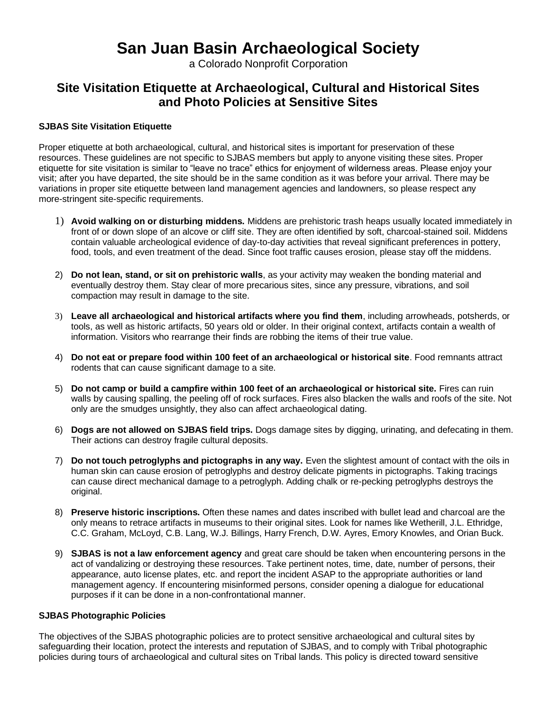# **San Juan Basin Archaeological Society**

a Colorado Nonprofit Corporation

# **Site Visitation Etiquette at Archaeological, Cultural and Historical Sites and Photo Policies at Sensitive Sites**

## **SJBAS Site Visitation Etiquette**

Proper etiquette at both archaeological, cultural, and historical sites is important for preservation of these resources. These guidelines are not specific to SJBAS members but apply to anyone visiting these sites. Proper etiquette for site visitation is similar to "leave no trace" ethics for enjoyment of wilderness areas. Please enjoy your visit; after you have departed, the site should be in the same condition as it was before your arrival. There may be variations in proper site etiquette between land management agencies and landowners, so please respect any more-stringent site-specific requirements.

- 1) **Avoid walking on or disturbing middens.** Middens are prehistoric trash heaps usually located immediately in front of or down slope of an alcove or cliff site. They are often identified by soft, charcoal-stained soil. Middens contain valuable archeological evidence of day-to-day activities that reveal significant preferences in pottery, food, tools, and even treatment of the dead. Since foot traffic causes erosion, please stay off the middens.
- 2) **Do not lean, stand, or sit on prehistoric walls**, as your activity may weaken the bonding material and eventually destroy them. Stay clear of more precarious sites, since any pressure, vibrations, and soil compaction may result in damage to the site.
- 3) **Leave all archaeological and historical artifacts where you find them**, including arrowheads, potsherds, or tools, as well as historic artifacts, 50 years old or older. In their original context, artifacts contain a wealth of information. Visitors who rearrange their finds are robbing the items of their true value.
- 4) **Do not eat or prepare food within 100 feet of an archaeological or historical site**. Food remnants attract rodents that can cause significant damage to a site.
- 5) **Do not camp or build a campfire within 100 feet of an archaeological or historical site.** Fires can ruin walls by causing spalling, the peeling off of rock surfaces. Fires also blacken the walls and roofs of the site. Not only are the smudges unsightly, they also can affect archaeological dating.
- 6) **Dogs are not allowed on SJBAS field trips.** Dogs damage sites by digging, urinating, and defecating in them. Their actions can destroy fragile cultural deposits.
- 7) **Do not touch petroglyphs and pictographs in any way.** Even the slightest amount of contact with the oils in human skin can cause erosion of petroglyphs and destroy delicate pigments in pictographs. Taking tracings can cause direct mechanical damage to a petroglyph. Adding chalk or re-pecking petroglyphs destroys the original.
- 8) **Preserve historic inscriptions.** Often these names and dates inscribed with bullet lead and charcoal are the only means to retrace artifacts in museums to their original sites. Look for names like Wetherill, J.L. Ethridge, C.C. Graham, McLoyd, C.B. Lang, W.J. Billings, Harry French, D.W. Ayres, Emory Knowles, and Orian Buck.
- 9) **SJBAS is not a law enforcement agency** and great care should be taken when encountering persons in the act of vandalizing or destroying these resources. Take pertinent notes, time, date, number of persons, their appearance, auto license plates, etc. and report the incident ASAP to the appropriate authorities or land management agency. If encountering misinformed persons, consider opening a dialogue for educational purposes if it can be done in a non-confrontational manner.

#### **SJBAS Photographic Policies**

The objectives of the SJBAS photographic policies are to protect sensitive archaeological and cultural sites by safeguarding their location, protect the interests and reputation of SJBAS, and to comply with Tribal photographic policies during tours of archaeological and cultural sites on Tribal lands. This policy is directed toward sensitive